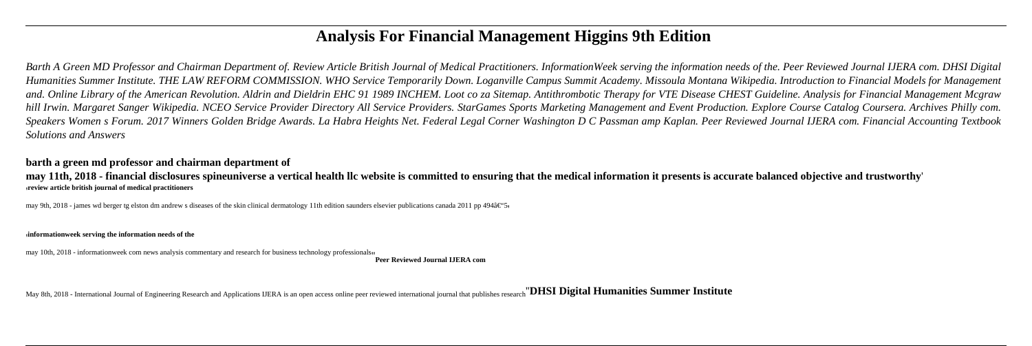# **Analysis For Financial Management Higgins 9th Edition**

*Barth A Green MD Professor and Chairman Department of. Review Article British Journal of Medical Practitioners. InformationWeek serving the information needs of the. Peer Reviewed Journal IJERA com. DHSI Digital Humanities Summer Institute. THE LAW REFORM COMMISSION. WHO Service Temporarily Down. Loganville Campus Summit Academy. Missoula Montana Wikipedia. Introduction to Financial Models for Management and. Online Library of the American Revolution. Aldrin and Dieldrin EHC 91 1989 INCHEM. Loot co za Sitemap. Antithrombotic Therapy for VTE Disease CHEST Guideline. Analysis for Financial Management Mcgraw hill Irwin. Margaret Sanger Wikipedia. NCEO Service Provider Directory All Service Providers. StarGames Sports Marketing Management and Event Production. Explore Course Catalog Coursera. Archives Philly com. Speakers Women s Forum. 2017 Winners Golden Bridge Awards. La Habra Heights Net. Federal Legal Corner Washington D C Passman amp Kaplan. Peer Reviewed Journal IJERA com. Financial Accounting Textbook Solutions and Answers*

### **barth a green md professor and chairman department of**

**may 11th, 2018 - financial disclosures spineuniverse a vertical health llc website is committed to ensuring that the medical information it presents is accurate balanced objective and trustworthy**' '**review article british journal of medical practitioners**

may 9th, 2018 - james wd berger tg elston dm andrew s diseases of the skin clinical dermatology 11th edition saunders elsevier publications canada 2011 pp 494 $\hat{\textbf{a}}$  = '5

#### '**informationweek serving the information needs of the**

may 10th, 2018 - informationweek com news analysis commentary and research for business technology professionals<sub>11</sub><br>Peer Reviewed Journal LIERA com

May 8th, 2018 - International Journal of Engineering Research and Applications IJERA is an open access online peer reviewed international journal that publishes research''**DHSI Digital Humanities Summer Institute**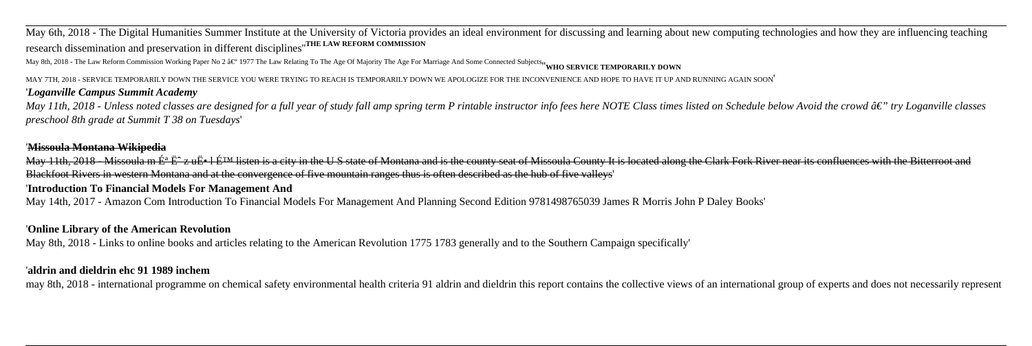May 6th, 2018 - The Digital Humanities Summer Institute at the University of Victoria provides an ideal environment for discussing and learning about new computing technologies and how they are influencing teaching research dissemination and preservation in different disciplines''**THE LAW REFORM COMMISSION**

May 8th, 2018 - The Law Reform Commission Working Paper No 2 â€" 1977 The Law Relating To The Age Of Majority The Age For Marriage And Some Connected Subjects'<sub>WHO SERVICE TEMPORARILY DOWN</sub>

*May 11th, 2018 - Unless noted classes are designed for a full year of study fall amp spring term P rintable instructor info fees here NOTE Class times listed on Schedule below Avoid the crowd*  $\hat{a}\epsilon$ *" try Loganville cla preschool 8th grade at Summit T 38 on Tuesdays*'

MAY 7TH, 2018 - SERVICE TEMPORARILY DOWN THE SERVICE YOU WERE TRYING TO REACH IS TEMPORARILY DOWN WE APOLOGIZE FOR THE INCONVENIENCE AND HOPE TO HAVE IT UP AND RUNNING AGAIN SOON'

May 11th, 2018 - Missoula m  $\acute{E}^a \acute{E}^c$  z uË  $\bullet$  1  $\acute{E}^{\text{TM}}$  listen is a city in the U S state of Montana and is the county seat of Missoula County It is located along the Clark Fork River near its confluences w Blackfoot Rivers in western Montana and at the convergence of five mountain ranges thus is often described as the hub of five valleys'

### '*Loganville Campus Summit Academy*

### '**Missoula Montana Wikipedia**

### '**Introduction To Financial Models For Management And**

May 14th, 2017 - Amazon Com Introduction To Financial Models For Management And Planning Second Edition 9781498765039 James R Morris John P Daley Books'

### '**Online Library of the American Revolution**

May 8th, 2018 - Links to online books and articles relating to the American Revolution 1775 1783 generally and to the Southern Campaign specifically'

#### '**aldrin and dieldrin ehc 91 1989 inchem**

may 8th, 2018 - international programme on chemical safety environmental health criteria 91 aldrin and dieldrin this report contains the collective views of an international group of experts and does not necessarily repres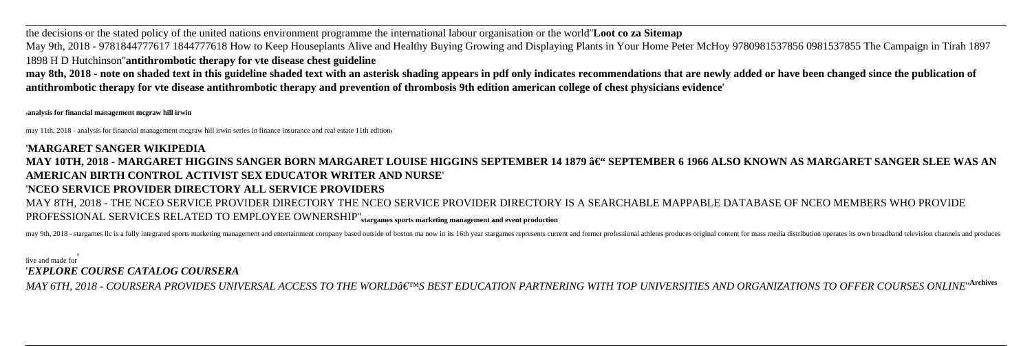the decisions or the stated policy of the united nations environment programme the international labour organisation or the world''**Loot co za Sitemap** May 9th, 2018 - 9781844777617 1844777618 How to Keep Houseplants Alive and Healthy Buying Growing and Displaying Plants in Your Home Peter McHoy 9780981537856 0981537855 The Campaign in Tirah 1897 1898 H D Hutchinson''**antithrombotic therapy for vte disease chest guideline**

**may 8th, 2018 - note on shaded text in this guideline shaded text with an asterisk shading appears in pdf only indicates recommendations that are newly added or have been changed since the publication of antithrombotic therapy for vte disease antithrombotic therapy and prevention of thrombosis 9th edition american college of chest physicians evidence**'

# MAY 10TH, 2018 - MARGARET HIGGINS SANGER BORN MARGARET LOUISE HIGGINS SEPTEMBER 14 1879 – SEPTEMBER 6 1966 ALSO KNOWN AS MARGARET SANGER SLEE WAS AN **AMERICAN BIRTH CONTROL ACTIVIST SEX EDUCATOR WRITER AND NURSE**'

'**analysis for financial management mcgraw hill irwin**

may 11th, 2018 - analysis for financial management mcgraw hill irwin series in finance insurance and real estate 11th edition'

## '**MARGARET SANGER WIKIPEDIA**

# '**NCEO SERVICE PROVIDER DIRECTORY ALL SERVICE PROVIDERS**

# MAY 8TH, 2018 - THE NCEO SERVICE PROVIDER DIRECTORY THE NCEO SERVICE PROVIDER DIRECTORY IS A SEARCHABLE MAPPABLE DATABASE OF NCEO MEMBERS WHO PROVIDE PROFESSIONAL SERVICES RELATED TO EMPLOYEE OWNERSHIP''**stargames sports marketing management and event production**

may 9th, 2018 - stargames llc is a fully integrated sports marketing management and entertainment company based outside of boston ma now in its 16th year stargames represents current and former professional athletes produc

#### live and made for' '*EXPLORE COURSE CATALOG COURSERA*

*MAY 6TH, 2018 - COURSERA PROVIDES UNIVERSAL ACCESS TO THE WORLD'S BEST EDUCATION PARTNERING WITH TOP UNIVERSITIES AND ORGANIZATIONS TO OFFER COURSES ONLINE*''

# **Archives**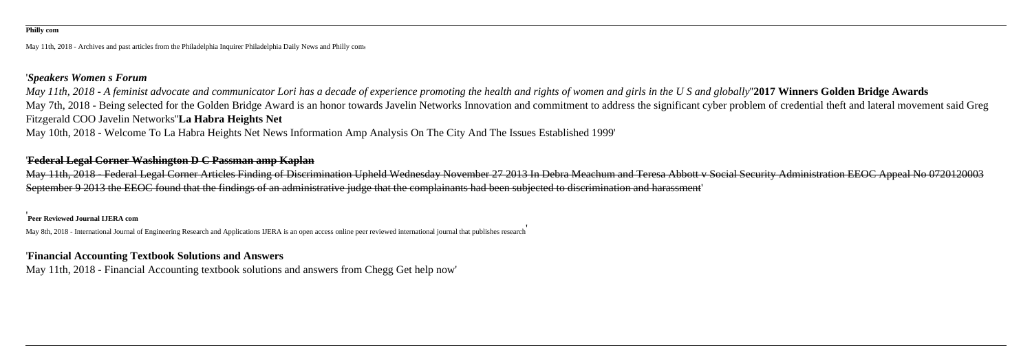#### **Philly com**

May 11th, 2018 - Archives and past articles from the Philadelphia Inquirer Philadelphia Daily News and Philly com

#### '*Speakers Women s Forum*

*May 11th, 2018 - A feminist advocate and communicator Lori has a decade of experience promoting the health and rights of women and girls in the U S and globally*''**2017 Winners Golden Bridge Awards** May 7th, 2018 - Being selected for the Golden Bridge Award is an honor towards Javelin Networks Innovation and commitment to address the significant cyber problem of credential theft and lateral movement said Greg Fitzgerald COO Javelin Networks''**La Habra Heights Net**

May 10th, 2018 - Welcome To La Habra Heights Net News Information Amp Analysis On The City And The Issues Established 1999'

#### '**Federal Legal Corner Washington D C Passman amp Kaplan**

May 11th, 2018 - Federal Legal Corner Articles Finding of Discrimination Upheld Wednesday November 27 2013 In Debra Meachum and Teresa Abbott v Social Security Administration EEOC Appeal No 0720120003 September 9 2013 the EEOC found that the findings of an administrative judge that the complainants had been subjected to discrimination and harassment'

### '**Peer Reviewed Journal IJERA com**

May 8th, 2018 - International Journal of Engineering Research and Applications IJERA is an open access online peer reviewed international journal that publishes research'

#### '**Financial Accounting Textbook Solutions and Answers**

May 11th, 2018 - Financial Accounting textbook solutions and answers from Chegg Get help now'